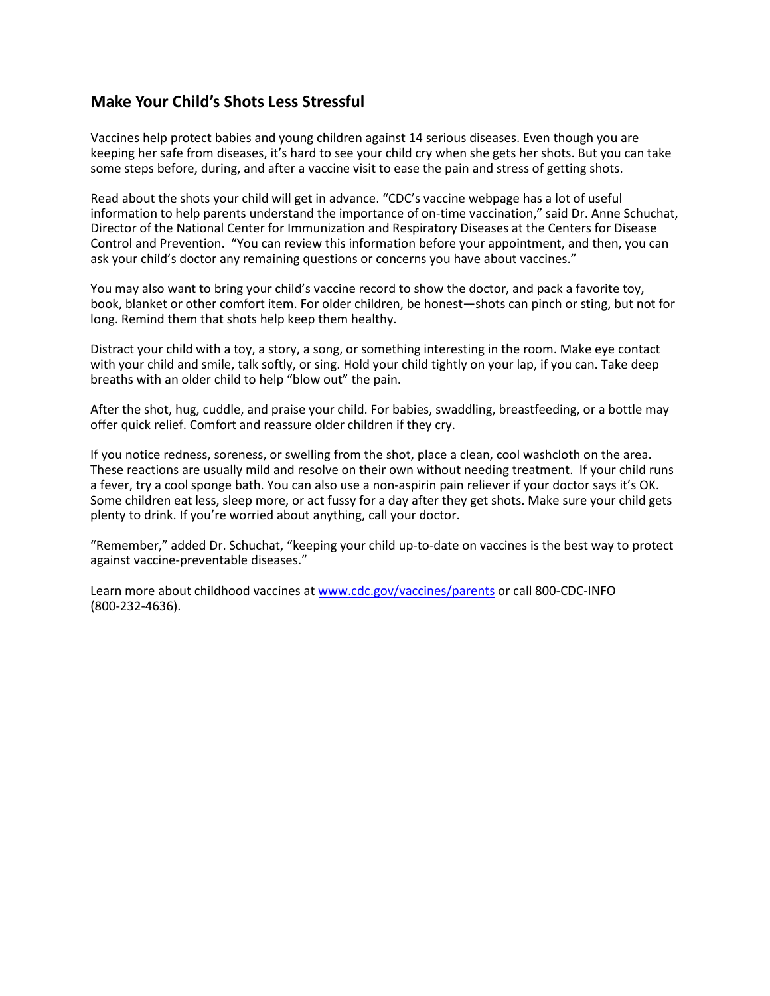## **Make Your Child's Shots Less Stressful**

Vaccines help protect babies and young children against 14 serious diseases. Even though you are keeping her safe from diseases, it's hard to see your child cry when she gets her shots. But you can take some steps before, during, and after a vaccine visit to ease the pain and stress of getting shots.

Read about the shots your child will get in advance. "CDC's vaccine webpage has a lot of useful information to help parents understand the importance of on-time vaccination," said Dr. Anne Schuchat, Director of the National Center for Immunization and Respiratory Diseases at the Centers for Disease Control and Prevention. "You can review this information before your appointment, and then, you can ask your child's doctor any remaining questions or concerns you have about vaccines."

You may also want to bring your child's vaccine record to show the doctor, and pack a favorite toy, book, blanket or other comfort item. For older children, be honest—shots can pinch or sting, but not for long. Remind them that shots help keep them healthy.

Distract your child with a toy, a story, a song, or something interesting in the room. Make eye contact with your child and smile, talk softly, or sing. Hold your child tightly on your lap, if you can. Take deep breaths with an older child to help "blow out" the pain.

After the shot, hug, cuddle, and praise your child. For babies, swaddling, breastfeeding, or a bottle may offer quick relief. Comfort and reassure older children if they cry.

If you notice redness, soreness, or swelling from the shot, place a clean, cool washcloth on the area. These reactions are usually mild and resolve on their own without needing treatment. If your child runs a fever, try a cool sponge bath. You can also use a non-aspirin pain reliever if your doctor says it's OK. Some children eat less, sleep more, or act fussy for a day after they get shots. Make sure your child gets plenty to drink. If you're worried about anything, call your doctor.

"Remember," added Dr. Schuchat, "keeping your child up-to-date on vaccines is the best way to protect against vaccine-preventable diseases."

Learn more about childhood vaccines at [www.cdc.gov/vaccines/](http://www.cdc.gov/vaccines)parents or call 800-CDC-INFO (800-232-4636).